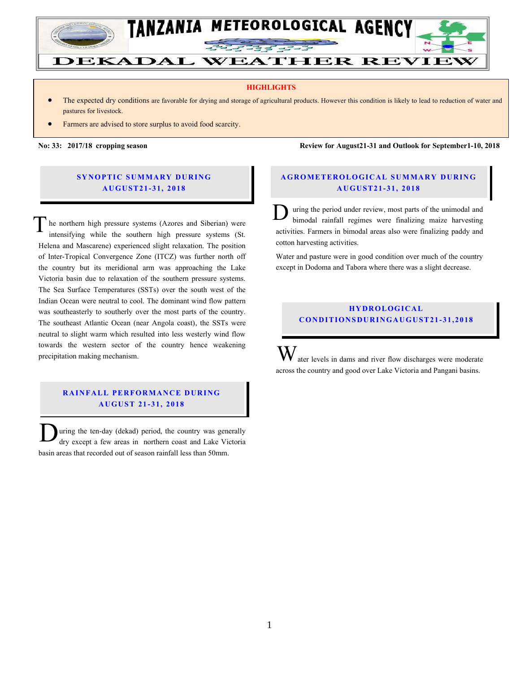

#### **HIGHLIGHTS**

- The expected dry conditions are favorable for drying and storage of agricultural products. However this condition is likely to lead to reduction of water and pastures for livestock.
- Farmers are advised to store surplus to avoid food scarcity.

Farmera are advised to start land prepatations for the coming *masika* season, especially in bimodal areas.

**SYNOPTIC SUMMARY DURING A U GU ST21- 31, 201 8**

he northern high pressure systems (Azores and Siberian) were intensifying while the southern high pressure systems (St. Helena and Mascarene) experienced slight relaxation. The position of Inter-Tropical Convergence Zone (ITCZ) was further north off the country but its meridional arm was approaching the Lake Victoria basin due to relaxation of the southern pressure systems. The Sea Surface Temperatures (SSTs) over the south west of the Indian Ocean were neutral to cool. The dominant wind flow pattern was southeasterly to southerly over the most parts of the country. The southeast Atlantic Ocean (near Angola coast), the SSTs were neutral to slight warm which resulted into less westerly wind flow towards the western sector of the country hence weakening precipitation making mechanism. T

### **RAINFALL PERFORMANCE DURING A U GU ST 21 - 31, 2018**

uring the ten-day (dekad) period, the country was generally dry except a few areas in northern coast and Lake Victoria basin areas that recorded out of season rainfall less than 50mm.  $\overline{\mathbf{D}}$ 

**No: 33: 2017/18 cropping season Review for August21-31 and Outlook for September1-10, 2018**

# **A G RO METER O LO G IC AL SU MMAR Y DU R IN G A U GU ST21- 31, 2018**

uring the period under review, most parts of the unimodal and bimodal rainfall regimes were finalizing maize harvesting activities. Farmers in bimodal areas also were finalizing paddy and cotton harvesting activities.  $\mathbf{D}_\mathrm{t}$ 

Water and pasture were in good condition over much of the country except in Dodoma and Tabora where there was a slight decrease.

# **H Y DR O LOG IC A L C O ND ITION SDU R IN GAU G U ST21- 31, 2018**

ater levels in dams and river flow discharges were moderate across the country and good over Lake Victoria and Pangani basins. W